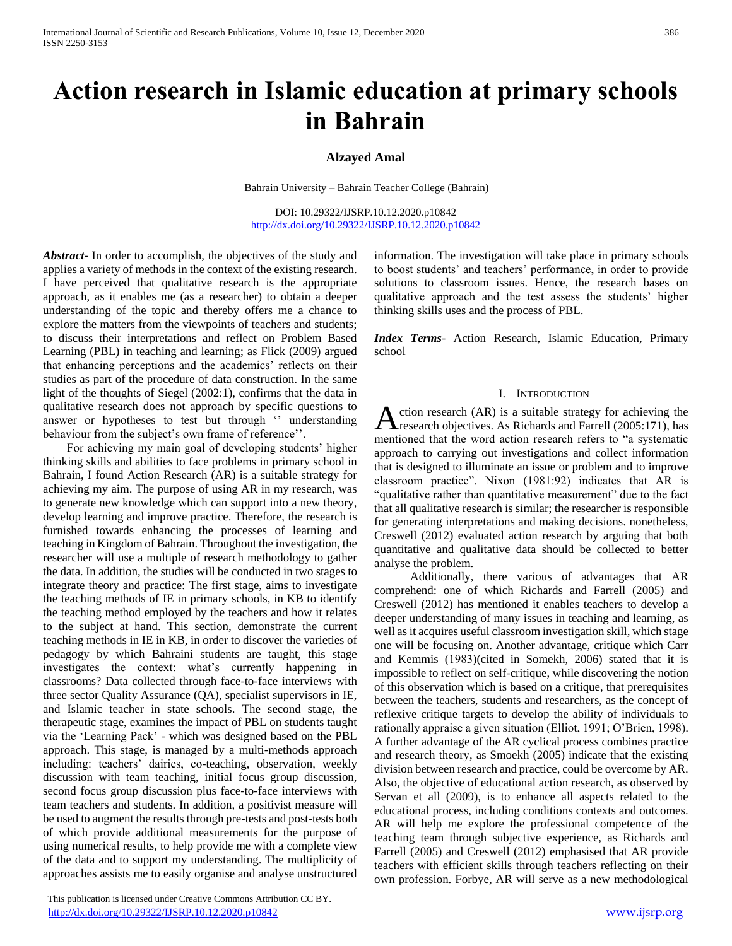# **Action research in Islamic education at primary schools in Bahrain**

## **Alzayed Amal**

Bahrain University – Bahrain Teacher College (Bahrain)

DOI: 10.29322/IJSRP.10.12.2020.p10842 <http://dx.doi.org/10.29322/IJSRP.10.12.2020.p10842>

*Abstract***-** In order to accomplish, the objectives of the study and applies a variety of methods in the context of the existing research. I have perceived that qualitative research is the appropriate approach, as it enables me (as a researcher) to obtain a deeper understanding of the topic and thereby offers me a chance to explore the matters from the viewpoints of teachers and students; to discuss their interpretations and reflect on Problem Based Learning (PBL) in teaching and learning; as Flick (2009) argued that enhancing perceptions and the academics' reflects on their studies as part of the procedure of data construction. In the same light of the thoughts of Siegel (2002:1), confirms that the data in qualitative research does not approach by specific questions to answer or hypotheses to test but through '' understanding behaviour from the subject's own frame of reference''.

 For achieving my main goal of developing students' higher thinking skills and abilities to face problems in primary school in Bahrain, I found Action Research (AR) is a suitable strategy for achieving my aim. The purpose of using AR in my research, was to generate new knowledge which can support into a new theory, develop learning and improve practice. Therefore, the research is furnished towards enhancing the processes of learning and teaching in Kingdom of Bahrain. Throughout the investigation, the researcher will use a multiple of research methodology to gather the data. In addition, the studies will be conducted in two stages to integrate theory and practice: The first stage, aims to investigate the teaching methods of IE in primary schools, in KB to identify the teaching method employed by the teachers and how it relates to the subject at hand. This section, demonstrate the current teaching methods in IE in KB, in order to discover the varieties of pedagogy by which Bahraini students are taught, this stage investigates the context: what's currently happening in classrooms? Data collected through face-to-face interviews with three sector Quality Assurance (QA), specialist supervisors in IE, and Islamic teacher in state schools. The second stage, the therapeutic stage, examines the impact of PBL on students taught via the 'Learning Pack' - which was designed based on the PBL approach. This stage, is managed by a multi-methods approach including: teachers' dairies, co-teaching, observation, weekly discussion with team teaching, initial focus group discussion, second focus group discussion plus face-to-face interviews with team teachers and students. In addition, a positivist measure will be used to augment the results through pre-tests and post-tests both of which provide additional measurements for the purpose of using numerical results, to help provide me with a complete view of the data and to support my understanding. The multiplicity of approaches assists me to easily organise and analyse unstructured

 This publication is licensed under Creative Commons Attribution CC BY. <http://dx.doi.org/10.29322/IJSRP.10.12.2020.p10842> [www.ijsrp.org](http://ijsrp.org/)

information. The investigation will take place in primary schools to boost students' and teachers' performance, in order to provide solutions to classroom issues. Hence, the research bases on qualitative approach and the test assess the students' higher thinking skills uses and the process of PBL.

*Index Terms*- Action Research, Islamic Education, Primary school

### I. INTRODUCTION

ction research (AR) is a suitable strategy for achieving the Action research (AR) is a suitable strategy for achieving the research objectives. As Richards and Farrell (2005:171), has mentioned that the word action research refers to "a systematic approach to carrying out investigations and collect information that is designed to illuminate an issue or problem and to improve classroom practice". Nixon (1981:92) indicates that AR is "qualitative rather than quantitative measurement" due to the fact that all qualitative research is similar; the researcher is responsible for generating interpretations and making decisions. nonetheless, Creswell (2012) evaluated action research by arguing that both quantitative and qualitative data should be collected to better analyse the problem.

 Additionally, there various of advantages that AR comprehend: one of which Richards and Farrell (2005) and Creswell (2012) has mentioned it enables teachers to develop a deeper understanding of many issues in teaching and learning, as well as it acquires useful classroom investigation skill, which stage one will be focusing on. Another advantage, critique which Carr and Kemmis (1983)(cited in Somekh, 2006) stated that it is impossible to reflect on self-critique, while discovering the notion of this observation which is based on a critique, that prerequisites between the teachers, students and researchers, as the concept of reflexive critique targets to develop the ability of individuals to rationally appraise a given situation (Elliot, 1991; O'Brien, 1998). A further advantage of the AR cyclical process combines practice and research theory, as Smoekh (2005) indicate that the existing division between research and practice, could be overcome by AR. Also, the objective of educational action research, as observed by Servan et all (2009), is to enhance all aspects related to the educational process, including conditions contexts and outcomes. AR will help me explore the professional competence of the teaching team through subjective experience, as Richards and Farrell (2005) and Creswell (2012) emphasised that AR provide teachers with efficient skills through teachers reflecting on their own profession. Forbye, AR will serve as a new methodological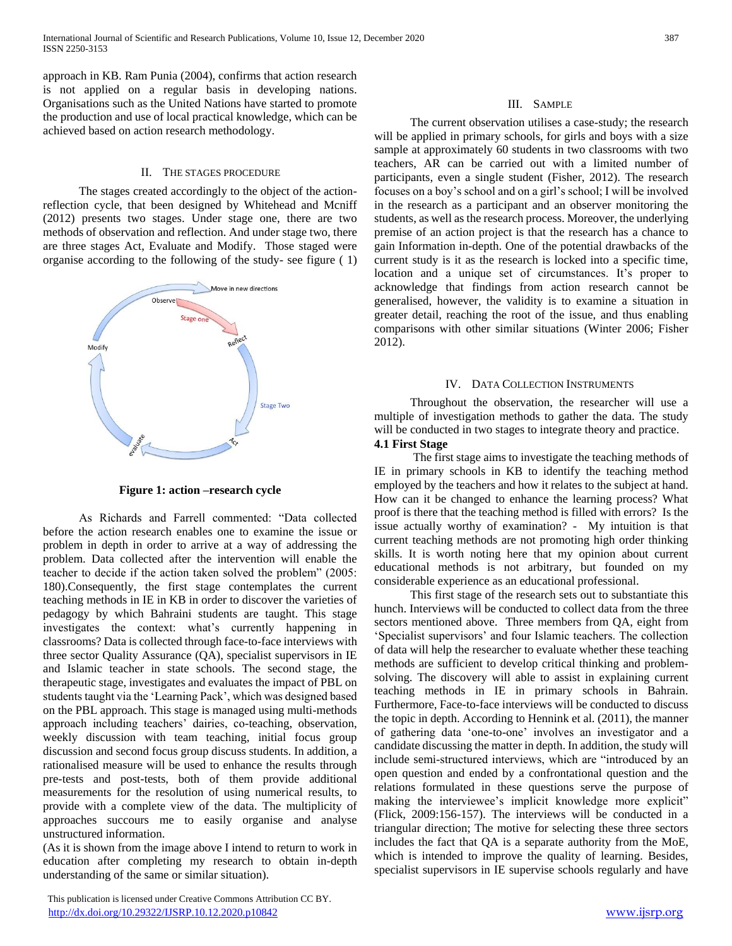approach in KB. Ram Punia (2004), confirms that action research is not applied on a regular basis in developing nations. Organisations such as the United Nations have started to promote the production and use of local practical knowledge, which can be achieved based on action research methodology.

## II. THE STAGES PROCEDURE

 The stages created accordingly to the object of the actionreflection cycle, that been designed by Whitehead and Mcniff (2012) presents two stages. Under stage one, there are two methods of observation and reflection. And under stage two, there are three stages Act, Evaluate and Modify. Those staged were organise according to the following of the study- see figure ( 1)



**Figure 1: action –research cycle**

 As Richards and Farrell commented: "Data collected before the action research enables one to examine the issue or problem in depth in order to arrive at a way of addressing the problem. Data collected after the intervention will enable the teacher to decide if the action taken solved the problem" (2005: 180).Consequently, the first stage contemplates the current teaching methods in IE in KB in order to discover the varieties of pedagogy by which Bahraini students are taught. This stage investigates the context: what's currently happening in classrooms? Data is collected through face-to-face interviews with three sector Quality Assurance (QA), specialist supervisors in IE and Islamic teacher in state schools. The second stage, the therapeutic stage, investigates and evaluates the impact of PBL on students taught via the 'Learning Pack', which was designed based on the PBL approach. This stage is managed using multi-methods approach including teachers' dairies, co-teaching, observation, weekly discussion with team teaching, initial focus group discussion and second focus group discuss students. In addition, a rationalised measure will be used to enhance the results through pre-tests and post-tests, both of them provide additional measurements for the resolution of using numerical results, to provide with a complete view of the data. The multiplicity of approaches succours me to easily organise and analyse unstructured information.

(As it is shown from the image above I intend to return to work in education after completing my research to obtain in-depth understanding of the same or similar situation).

 This publication is licensed under Creative Commons Attribution CC BY. <http://dx.doi.org/10.29322/IJSRP.10.12.2020.p10842> [www.ijsrp.org](http://ijsrp.org/)

## III. SAMPLE

 The current observation utilises a case-study; the research will be applied in primary schools, for girls and boys with a size sample at approximately 60 students in two classrooms with two teachers, AR can be carried out with a limited number of participants, even a single student (Fisher, 2012). The research focuses on a boy's school and on a girl's school; I will be involved in the research as a participant and an observer monitoring the students, as well as the research process. Moreover, the underlying premise of an action project is that the research has a chance to gain Information in-depth. One of the potential drawbacks of the current study is it as the research is locked into a specific time, location and a unique set of circumstances. It's proper to acknowledge that findings from action research cannot be generalised, however, the validity is to examine a situation in greater detail, reaching the root of the issue, and thus enabling comparisons with other similar situations (Winter 2006; Fisher 2012).

## IV. DATA COLLECTION INSTRUMENTS

 Throughout the observation, the researcher will use a multiple of investigation methods to gather the data. The study will be conducted in two stages to integrate theory and practice.

# **4.1 First Stage**

 The first stage aims to investigate the teaching methods of IE in primary schools in KB to identify the teaching method employed by the teachers and how it relates to the subject at hand. How can it be changed to enhance the learning process? What proof is there that the teaching method is filled with errors? Is the issue actually worthy of examination? - My intuition is that current teaching methods are not promoting high order thinking skills. It is worth noting here that my opinion about current educational methods is not arbitrary, but founded on my considerable experience as an educational professional.

 This first stage of the research sets out to substantiate this hunch. Interviews will be conducted to collect data from the three sectors mentioned above. Three members from QA, eight from 'Specialist supervisors' and four Islamic teachers. The collection of data will help the researcher to evaluate whether these teaching methods are sufficient to develop critical thinking and problemsolving. The discovery will able to assist in explaining current teaching methods in IE in primary schools in Bahrain. Furthermore, Face-to-face interviews will be conducted to discuss the topic in depth. According to Hennink et al. (2011), the manner of gathering data 'one-to-one' involves an investigator and a candidate discussing the matter in depth. In addition, the study will include semi-structured interviews, which are "introduced by an open question and ended by a confrontational question and the relations formulated in these questions serve the purpose of making the interviewee's implicit knowledge more explicit" (Flick, 2009:156-157). The interviews will be conducted in a triangular direction; The motive for selecting these three sectors includes the fact that QA is a separate authority from the MoE, which is intended to improve the quality of learning. Besides, specialist supervisors in IE supervise schools regularly and have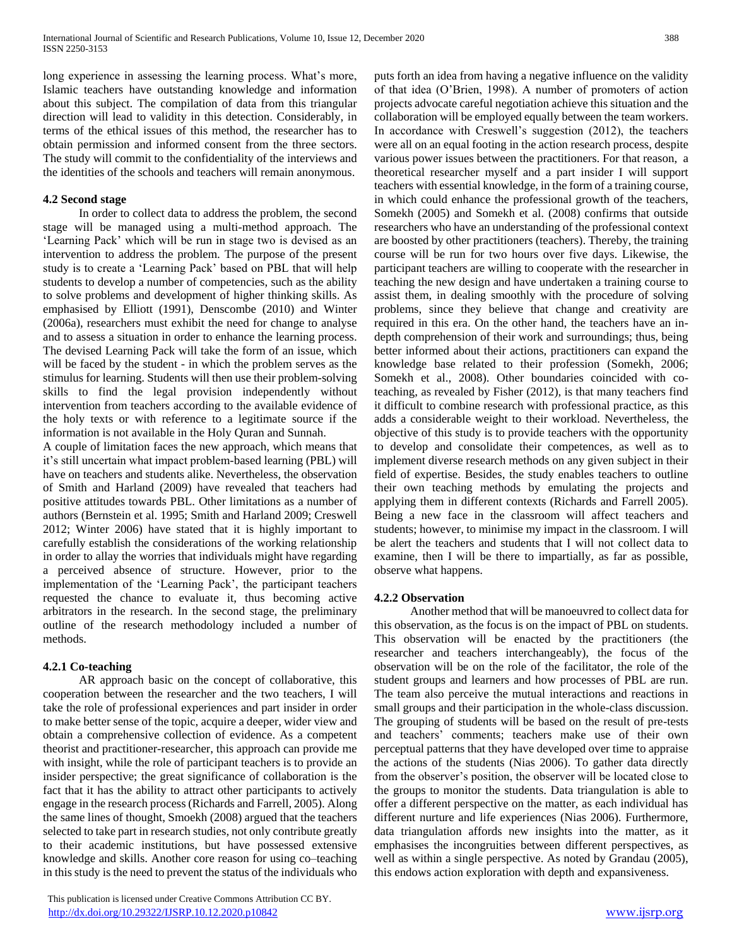long experience in assessing the learning process. What's more, Islamic teachers have outstanding knowledge and information about this subject. The compilation of data from this triangular direction will lead to validity in this detection. Considerably, in terms of the ethical issues of this method, the researcher has to obtain permission and informed consent from the three sectors. The study will commit to the confidentiality of the interviews and the identities of the schools and teachers will remain anonymous.

## **4.2 Second stage**

 In order to collect data to address the problem, the second stage will be managed using a multi-method approach. The 'Learning Pack' which will be run in stage two is devised as an intervention to address the problem. The purpose of the present study is to create a 'Learning Pack' based on PBL that will help students to develop a number of competencies, such as the ability to solve problems and development of higher thinking skills. As emphasised by Elliott (1991), Denscombe (2010) and Winter (2006a), researchers must exhibit the need for change to analyse and to assess a situation in order to enhance the learning process. The devised Learning Pack will take the form of an issue, which will be faced by the student - in which the problem serves as the stimulus for learning. Students will then use their problem-solving skills to find the legal provision independently without intervention from teachers according to the available evidence of the holy texts or with reference to a legitimate source if the information is not available in the Holy Quran and Sunnah.

A couple of limitation faces the new approach, which means that it's still uncertain what impact problem-based learning (PBL) will have on teachers and students alike. Nevertheless, the observation of Smith and Harland (2009) have revealed that teachers had positive attitudes towards PBL. Other limitations as a number of authors (Bernstein et al. 1995; Smith and Harland 2009; Creswell 2012; Winter 2006) have stated that it is highly important to carefully establish the considerations of the working relationship in order to allay the worries that individuals might have regarding a perceived absence of structure. However, prior to the implementation of the 'Learning Pack', the participant teachers requested the chance to evaluate it, thus becoming active arbitrators in the research. In the second stage, the preliminary outline of the research methodology included a number of methods.

## **4.2.1 Co-teaching**

 AR approach basic on the concept of collaborative, this cooperation between the researcher and the two teachers, I will take the role of professional experiences and part insider in order to make better sense of the topic, acquire a deeper, wider view and obtain a comprehensive collection of evidence. As a competent theorist and practitioner-researcher, this approach can provide me with insight, while the role of participant teachers is to provide an insider perspective; the great significance of collaboration is the fact that it has the ability to attract other participants to actively engage in the research process (Richards and Farrell, 2005). Along the same lines of thought, Smoekh (2008) argued that the teachers selected to take part in research studies, not only contribute greatly to their academic institutions, but have possessed extensive knowledge and skills. Another core reason for using co–teaching in this study is the need to prevent the status of the individuals who

 This publication is licensed under Creative Commons Attribution CC BY. <http://dx.doi.org/10.29322/IJSRP.10.12.2020.p10842> [www.ijsrp.org](http://ijsrp.org/)

puts forth an idea from having a negative influence on the validity of that idea (O'Brien, 1998). A number of promoters of action projects advocate careful negotiation achieve this situation and the collaboration will be employed equally between the team workers. In accordance with Creswell's suggestion (2012), the teachers were all on an equal footing in the action research process, despite various power issues between the practitioners. For that reason, a theoretical researcher myself and a part insider I will support teachers with essential knowledge, in the form of a training course, in which could enhance the professional growth of the teachers, Somekh (2005) and Somekh et al. (2008) confirms that outside researchers who have an understanding of the professional context are boosted by other practitioners (teachers). Thereby, the training course will be run for two hours over five days. Likewise, the participant teachers are willing to cooperate with the researcher in teaching the new design and have undertaken a training course to assist them, in dealing smoothly with the procedure of solving problems, since they believe that change and creativity are required in this era. On the other hand, the teachers have an indepth comprehension of their work and surroundings; thus, being better informed about their actions, practitioners can expand the knowledge base related to their profession (Somekh, 2006; Somekh et al., 2008). Other boundaries coincided with coteaching, as revealed by Fisher (2012), is that many teachers find it difficult to combine research with professional practice, as this adds a considerable weight to their workload. Nevertheless, the objective of this study is to provide teachers with the opportunity to develop and consolidate their competences, as well as to implement diverse research methods on any given subject in their field of expertise. Besides, the study enables teachers to outline their own teaching methods by emulating the projects and applying them in different contexts (Richards and Farrell 2005). Being a new face in the classroom will affect teachers and students; however, to minimise my impact in the classroom. I will be alert the teachers and students that I will not collect data to examine, then I will be there to impartially, as far as possible, observe what happens.

## **4.2.2 Observation**

 Another method that will be manoeuvred to collect data for this observation, as the focus is on the impact of PBL on students. This observation will be enacted by the practitioners (the researcher and teachers interchangeably), the focus of the observation will be on the role of the facilitator, the role of the student groups and learners and how processes of PBL are run. The team also perceive the mutual interactions and reactions in small groups and their participation in the whole-class discussion. The grouping of students will be based on the result of pre-tests and teachers' comments; teachers make use of their own perceptual patterns that they have developed over time to appraise the actions of the students (Nias 2006). To gather data directly from the observer's position, the observer will be located close to the groups to monitor the students. Data triangulation is able to offer a different perspective on the matter, as each individual has different nurture and life experiences (Nias 2006). Furthermore, data triangulation affords new insights into the matter, as it emphasises the incongruities between different perspectives, as well as within a single perspective. As noted by Grandau (2005), this endows action exploration with depth and expansiveness.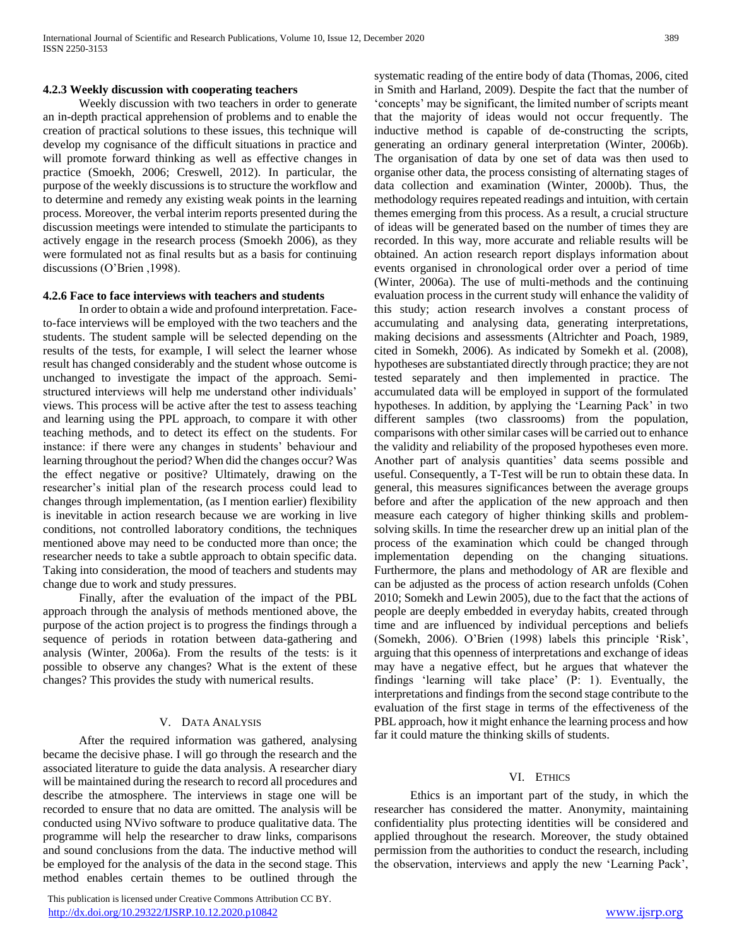## **4.2.3 Weekly discussion with cooperating teachers**

 Weekly discussion with two teachers in order to generate an in-depth practical apprehension of problems and to enable the creation of practical solutions to these issues, this technique will develop my cognisance of the difficult situations in practice and will promote forward thinking as well as effective changes in practice (Smoekh, 2006; Creswell, 2012). In particular, the purpose of the weekly discussions is to structure the workflow and to determine and remedy any existing weak points in the learning process. Moreover, the verbal interim reports presented during the discussion meetings were intended to stimulate the participants to actively engage in the research process (Smoekh 2006), as they were formulated not as final results but as a basis for continuing discussions (O'Brien ,1998).

## **4.2.6 Face to face interviews with teachers and students**

 In order to obtain a wide and profound interpretation. Faceto-face interviews will be employed with the two teachers and the students. The student sample will be selected depending on the results of the tests, for example, I will select the learner whose result has changed considerably and the student whose outcome is unchanged to investigate the impact of the approach. Semistructured interviews will help me understand other individuals' views. This process will be active after the test to assess teaching and learning using the PPL approach, to compare it with other teaching methods, and to detect its effect on the students. For instance: if there were any changes in students' behaviour and learning throughout the period? When did the changes occur? Was the effect negative or positive? Ultimately, drawing on the researcher's initial plan of the research process could lead to changes through implementation, (as I mention earlier) flexibility is inevitable in action research because we are working in live conditions, not controlled laboratory conditions, the techniques mentioned above may need to be conducted more than once; the researcher needs to take a subtle approach to obtain specific data. Taking into consideration, the mood of teachers and students may change due to work and study pressures.

 Finally, after the evaluation of the impact of the PBL approach through the analysis of methods mentioned above, the purpose of the action project is to progress the findings through a sequence of periods in rotation between data-gathering and analysis (Winter, 2006a). From the results of the tests: is it possible to observe any changes? What is the extent of these changes? This provides the study with numerical results.

## V. DATA ANALYSIS

 After the required information was gathered, analysing became the decisive phase. I will go through the research and the associated literature to guide the data analysis. A researcher diary will be maintained during the research to record all procedures and describe the atmosphere. The interviews in stage one will be recorded to ensure that no data are omitted. The analysis will be conducted using NVivo software to produce qualitative data. The programme will help the researcher to draw links, comparisons and sound conclusions from the data. The inductive method will be employed for the analysis of the data in the second stage. This method enables certain themes to be outlined through the

 This publication is licensed under Creative Commons Attribution CC BY. <http://dx.doi.org/10.29322/IJSRP.10.12.2020.p10842> [www.ijsrp.org](http://ijsrp.org/)

systematic reading of the entire body of data (Thomas, 2006, cited in Smith and Harland, 2009). Despite the fact that the number of 'concepts' may be significant, the limited number of scripts meant that the majority of ideas would not occur frequently. The inductive method is capable of de-constructing the scripts, generating an ordinary general interpretation (Winter, 2006b). The organisation of data by one set of data was then used to organise other data, the process consisting of alternating stages of data collection and examination (Winter, 2000b). Thus, the methodology requires repeated readings and intuition, with certain themes emerging from this process. As a result, a crucial structure of ideas will be generated based on the number of times they are recorded. In this way, more accurate and reliable results will be obtained. An action research report displays information about events organised in chronological order over a period of time (Winter, 2006a). The use of multi-methods and the continuing evaluation process in the current study will enhance the validity of this study; action research involves a constant process of accumulating and analysing data, generating interpretations, making decisions and assessments (Altrichter and Poach, 1989, cited in Somekh, 2006). As indicated by Somekh et al. (2008), hypotheses are substantiated directly through practice; they are not tested separately and then implemented in practice. The accumulated data will be employed in support of the formulated hypotheses. In addition, by applying the 'Learning Pack' in two different samples (two classrooms) from the population, comparisons with other similar cases will be carried out to enhance the validity and reliability of the proposed hypotheses even more. Another part of analysis quantities' data seems possible and useful. Consequently, a T-Test will be run to obtain these data. In general, this measures significances between the average groups before and after the application of the new approach and then measure each category of higher thinking skills and problemsolving skills. In time the researcher drew up an initial plan of the process of the examination which could be changed through implementation depending on the changing situations. Furthermore, the plans and methodology of AR are flexible and can be adjusted as the process of action research unfolds (Cohen 2010; Somekh and Lewin 2005), due to the fact that the actions of people are deeply embedded in everyday habits, created through time and are influenced by individual perceptions and beliefs (Somekh, 2006). O'Brien (1998) labels this principle 'Risk', arguing that this openness of interpretations and exchange of ideas may have a negative effect, but he argues that whatever the findings 'learning will take place' (P: 1). Eventually, the interpretations and findings from the second stage contribute to the evaluation of the first stage in terms of the effectiveness of the PBL approach, how it might enhance the learning process and how far it could mature the thinking skills of students.

## VI. ETHICS

 Ethics is an important part of the study, in which the researcher has considered the matter. Anonymity, maintaining confidentiality plus protecting identities will be considered and applied throughout the research. Moreover, the study obtained permission from the authorities to conduct the research, including the observation, interviews and apply the new 'Learning Pack',